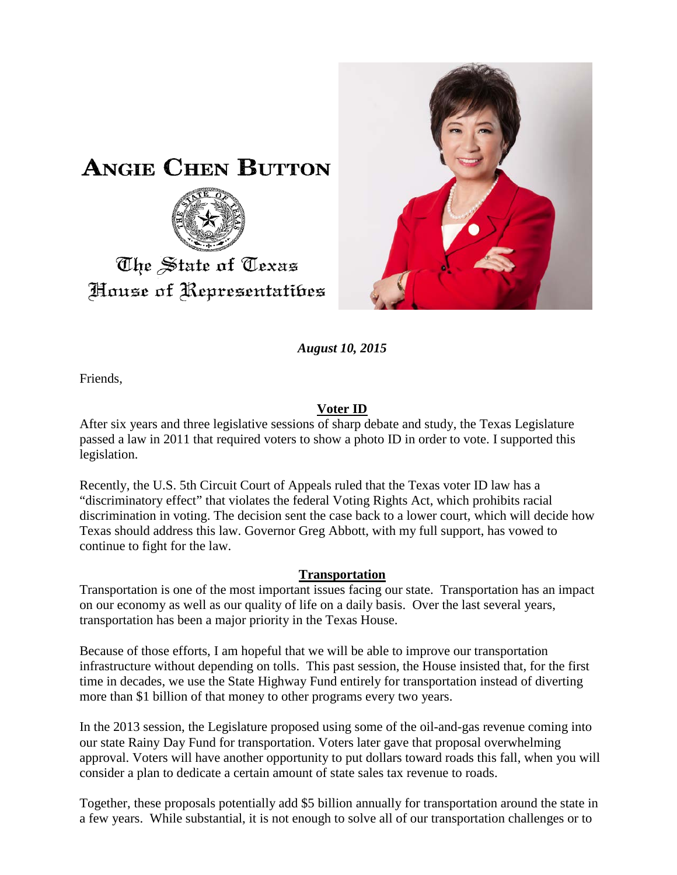

# The State of Texas House of Representatibes



*August 10, 2015*

Friends,

## **Voter ID**

After six years and three legislative sessions of sharp debate and study, the Texas Legislature passed a law in 2011 that required voters to show a photo ID in order to vote. I supported this legislation.

Recently, the U.S. 5th Circuit Court of Appeals ruled that the Texas voter ID law has a "discriminatory effect" that violates the federal Voting Rights Act, which prohibits racial discrimination in voting. The decision sent the case back to a lower court, which will decide how Texas should address this law. Governor Greg Abbott, with my full support, has vowed to continue to fight for the law.

### **Transportation**

Transportation is one of the most important issues facing our state. Transportation has an impact on our economy as well as our quality of life on a daily basis. Over the last several years, transportation has been a major priority in the Texas House.

Because of those efforts, I am hopeful that we will be able to improve our transportation infrastructure without depending on tolls. This past session, the House insisted that, for the first time in decades, we use the State Highway Fund entirely for transportation instead of diverting more than \$1 billion of that money to other programs every two years.

In the 2013 session, the Legislature proposed using some of the oil-and-gas revenue coming into our state Rainy Day Fund for transportation. Voters later gave that proposal overwhelming approval. Voters will have another opportunity to put dollars toward roads this fall, when you will consider a plan to dedicate a certain amount of state sales tax revenue to roads.

Together, these proposals potentially add \$5 billion annually for transportation around the state in a few years. While substantial, it is not enough to solve all of our transportation challenges or to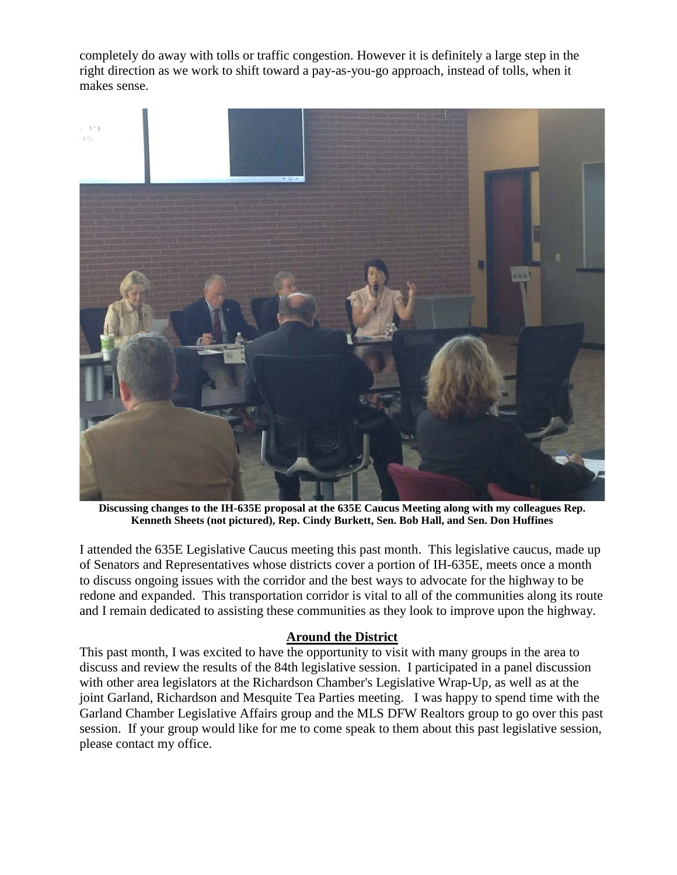completely do away with tolls or traffic congestion. However it is definitely a large step in the right direction as we work to shift toward a pay-as-you-go approach, instead of tolls, when it makes sense.



**Discussing changes to the IH-635E proposal at the 635E Caucus Meeting along with my colleagues Rep. Kenneth Sheets (not pictured), Rep. Cindy Burkett, Sen. Bob Hall, and Sen. Don Huffines**

I attended the 635E Legislative Caucus meeting this past month. This legislative caucus, made up of Senators and Representatives whose districts cover a portion of IH-635E, meets once a month to discuss ongoing issues with the corridor and the best ways to advocate for the highway to be redone and expanded. This transportation corridor is vital to all of the communities along its route and I remain dedicated to assisting these communities as they look to improve upon the highway.

#### **Around the District**

This past month, I was excited to have the opportunity to visit with many groups in the area to discuss and review the results of the 84th legislative session. I participated in a panel discussion with other area legislators at the Richardson Chamber's Legislative Wrap-Up, as well as at the joint Garland, Richardson and Mesquite Tea Parties meeting. I was happy to spend time with the Garland Chamber Legislative Affairs group and the MLS DFW Realtors group to go over this past session. If your group would like for me to come speak to them about this past legislative session, please contact my office.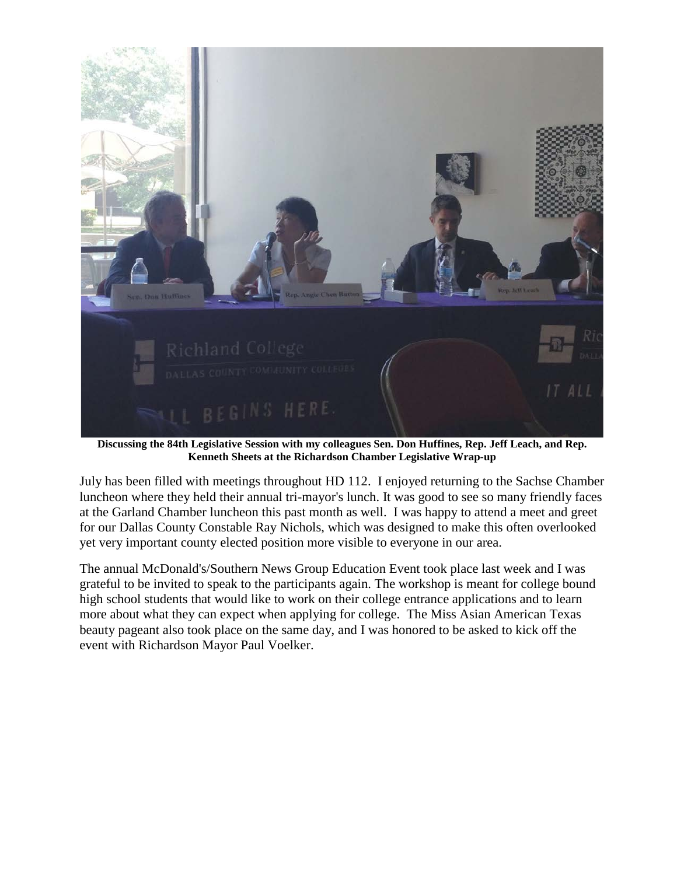

**Discussing the 84th Legislative Session with my colleagues Sen. Don Huffines, Rep. Jeff Leach, and Rep. Kenneth Sheets at the Richardson Chamber Legislative Wrap-up**

July has been filled with meetings throughout HD 112. I enjoyed returning to the Sachse Chamber luncheon where they held their annual tri-mayor's lunch. It was good to see so many friendly faces at the Garland Chamber luncheon this past month as well. I was happy to attend a meet and greet for our Dallas County Constable Ray Nichols, which was designed to make this often overlooked yet very important county elected position more visible to everyone in our area.

The annual McDonald's/Southern News Group Education Event took place last week and I was grateful to be invited to speak to the participants again. The workshop is meant for college bound high school students that would like to work on their college entrance applications and to learn more about what they can expect when applying for college. The Miss Asian American Texas beauty pageant also took place on the same day, and I was honored to be asked to kick off the event with Richardson Mayor Paul Voelker.